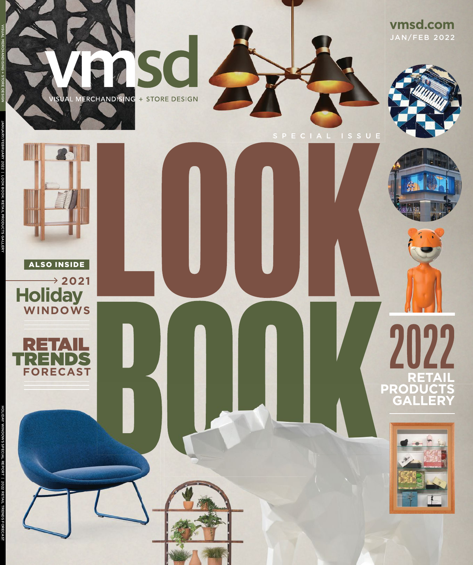2 S C VISUAL MERCHANDISING + STORE DESIGN 84

**vmsd.com** JAN/FEB 2022









JANUARY/FEBRUARY 2022 | LOOK BOOK: RETAIL PRODUCTS GALLERY VISUAL MERCHANDISING + STORE DESIGN

**WINDOWS**

EK.<br>Ek

**FORECAST** TRENDS

ALSO INSIDE

 $\rightarrow$  2021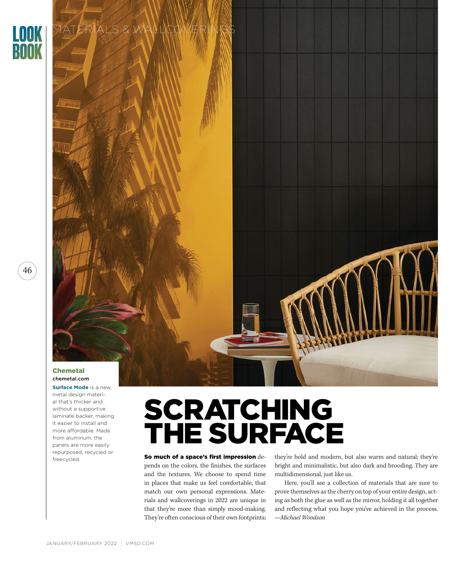

## MATERIALS & WALLCO

#### Chemetal chemetal.com

**Surface Mode** is a new, metal design material that's thicker and without a supportive laminate backer, making it easier to install and more affordable. Made from aluminum, the panels are more easily repurposed, recycled or freecycled.

# SCRATCHING THE SURFACE

So much of a space's first impression depends on the colors, the finishes, the surfaces and the textures. We choose to spend time in places that make us feel comfortable, that match our own personal expressions. Materials and wallcoverings in 2022 are unique in that they're more than simply mood-making. They're often conscious of their own footprints;

they're bold and modern, but also warm and natural; they're bright and minimalistic, but also dark and brooding. They are multidimensional, just like us.

Here, you'll see a collection of materials that are sure to prove themselves as the cherry on top of your entire design, acting as both the glue as well as the mirror, holding it all together and reflecting what you hope you've achieved in the process. *—Michael Woodson*